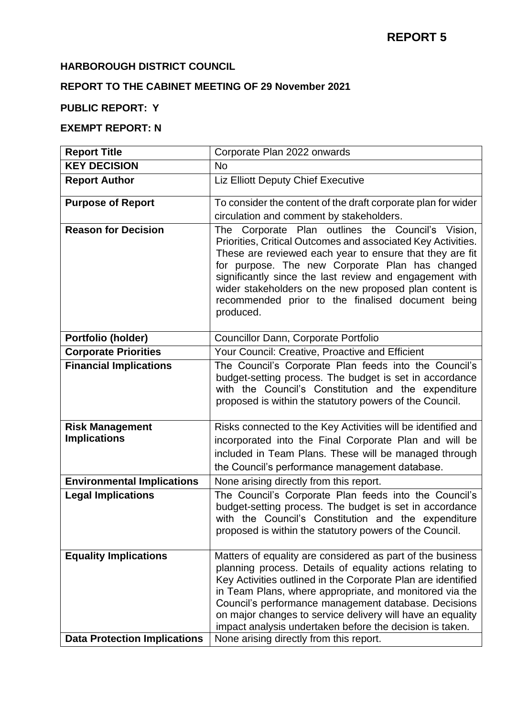#### **HARBOROUGH DISTRICT COUNCIL**

## **REPORT TO THE CABINET MEETING OF 29 November 2021**

### **PUBLIC REPORT: Y**

#### **EXEMPT REPORT: N**

| <b>Report Title</b>                                                 | Corporate Plan 2022 onwards                                                                                                                                                                                                                                                                                                                                                                                                                                                     |
|---------------------------------------------------------------------|---------------------------------------------------------------------------------------------------------------------------------------------------------------------------------------------------------------------------------------------------------------------------------------------------------------------------------------------------------------------------------------------------------------------------------------------------------------------------------|
| <b>KEY DECISION</b>                                                 | <b>No</b>                                                                                                                                                                                                                                                                                                                                                                                                                                                                       |
| <b>Report Author</b>                                                | <b>Liz Elliott Deputy Chief Executive</b>                                                                                                                                                                                                                                                                                                                                                                                                                                       |
| <b>Purpose of Report</b>                                            | To consider the content of the draft corporate plan for wider                                                                                                                                                                                                                                                                                                                                                                                                                   |
|                                                                     | circulation and comment by stakeholders.                                                                                                                                                                                                                                                                                                                                                                                                                                        |
| <b>Reason for Decision</b>                                          | The Corporate Plan outlines the Council's Vision,<br>Priorities, Critical Outcomes and associated Key Activities.<br>These are reviewed each year to ensure that they are fit<br>for purpose. The new Corporate Plan has changed<br>significantly since the last review and engagement with<br>wider stakeholders on the new proposed plan content is<br>recommended prior to the finalised document being<br>produced.                                                         |
| Portfolio (holder)                                                  | Councillor Dann, Corporate Portfolio                                                                                                                                                                                                                                                                                                                                                                                                                                            |
| <b>Corporate Priorities</b>                                         | Your Council: Creative, Proactive and Efficient                                                                                                                                                                                                                                                                                                                                                                                                                                 |
| <b>Financial Implications</b>                                       | The Council's Corporate Plan feeds into the Council's<br>budget-setting process. The budget is set in accordance<br>with the Council's Constitution and the expenditure<br>proposed is within the statutory powers of the Council.                                                                                                                                                                                                                                              |
| <b>Risk Management</b><br><b>Implications</b>                       | Risks connected to the Key Activities will be identified and<br>incorporated into the Final Corporate Plan and will be<br>included in Team Plans. These will be managed through<br>the Council's performance management database.                                                                                                                                                                                                                                               |
| <b>Environmental Implications</b>                                   | None arising directly from this report.                                                                                                                                                                                                                                                                                                                                                                                                                                         |
| <b>Legal Implications</b>                                           | The Council's Corporate Plan feeds into the Council's<br>budget-setting process. The budget is set in accordance<br>with the Council's Constitution and the expenditure<br>proposed is within the statutory powers of the Council.                                                                                                                                                                                                                                              |
| <b>Equality Implications</b><br><b>Data Protection Implications</b> | Matters of equality are considered as part of the business<br>planning process. Details of equality actions relating to<br>Key Activities outlined in the Corporate Plan are identified<br>in Team Plans, where appropriate, and monitored via the<br>Council's performance management database. Decisions<br>on major changes to service delivery will have an equality<br>impact analysis undertaken before the decision is taken.<br>None arising directly from this report. |
|                                                                     |                                                                                                                                                                                                                                                                                                                                                                                                                                                                                 |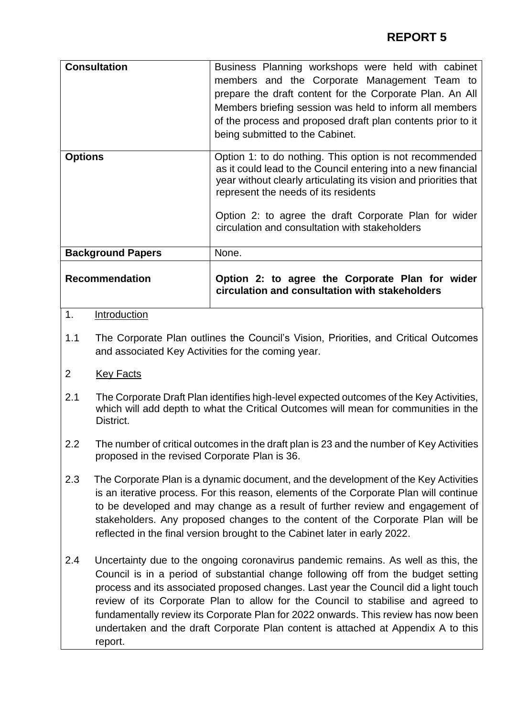| <b>Consultation</b>      | Business Planning workshops were held with cabinet<br>members and the Corporate Management Team to<br>prepare the draft content for the Corporate Plan. An All<br>Members briefing session was held to inform all members<br>of the process and proposed draft plan contents prior to it<br>being submitted to the Cabinet.                     |
|--------------------------|-------------------------------------------------------------------------------------------------------------------------------------------------------------------------------------------------------------------------------------------------------------------------------------------------------------------------------------------------|
| <b>Options</b>           | Option 1: to do nothing. This option is not recommended<br>as it could lead to the Council entering into a new financial<br>year without clearly articulating its vision and priorities that<br>represent the needs of its residents<br>Option 2: to agree the draft Corporate Plan for wider<br>circulation and consultation with stakeholders |
| <b>Background Papers</b> | None.                                                                                                                                                                                                                                                                                                                                           |
| <b>Recommendation</b>    | Option 2: to agree the Corporate Plan for wider<br>circulation and consultation with stakeholders                                                                                                                                                                                                                                               |

- 1. Introduction
- 1.1 The Corporate Plan outlines the Council's Vision, Priorities, and Critical Outcomes and associated Key Activities for the coming year.
- 2 Key Facts
- 2.1 The Corporate Draft Plan identifies high-level expected outcomes of the Key Activities, which will add depth to what the Critical Outcomes will mean for communities in the District.
- 2.2 The number of critical outcomes in the draft plan is 23 and the number of Key Activities proposed in the revised Corporate Plan is 36.
- 2.3 The Corporate Plan is a dynamic document, and the development of the Key Activities is an iterative process. For this reason, elements of the Corporate Plan will continue to be developed and may change as a result of further review and engagement of stakeholders. Any proposed changes to the content of the Corporate Plan will be reflected in the final version brought to the Cabinet later in early 2022.
- 2.4 Uncertainty due to the ongoing coronavirus pandemic remains. As well as this, the Council is in a period of substantial change following off from the budget setting process and its associated proposed changes. Last year the Council did a light touch review of its Corporate Plan to allow for the Council to stabilise and agreed to fundamentally review its Corporate Plan for 2022 onwards. This review has now been undertaken and the draft Corporate Plan content is attached at Appendix A to this report.